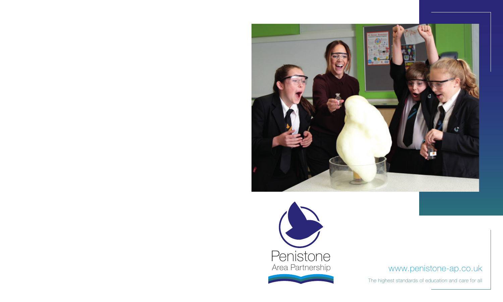



# www.penistone-ap.co.uk

The highest standards of education and care for all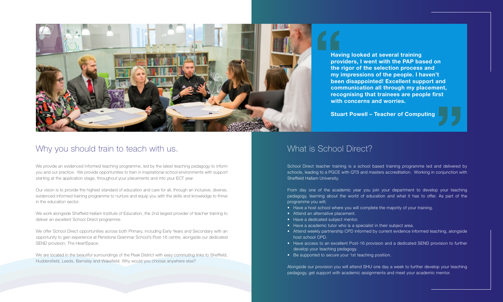### What is School Direct?

School Direct teacher training is a school based training programme led and delivered by schools, leading to a PGCE with QTS and masters accreditation. Working in conjunction with Sheffield Hallam University. **Stuart Powell – Teacher of Computing<br>
MOOI Direct?<br>
Training is a school based training programme led and delivered t** 

From day one of the academic year you join your department to develop your teaching pedagogy, learning about the world of education and what it has to offer. As part of the programme you will;

- Have a host school where you will complete the majority of your training.
- Attend an alternative placement.
- Have a dedicated subject mentor.
- Have a academic tutor who is a specialist in their subject area.
- Attend weekly partnership CPD informed by current evidence informed teaching, alongside host school CPD.
- Have access to an excellent Post-16 provision and a dedicated SEND provision to further develop your teaching pedagogy.
- Be supported to secure your 1st teaching position.

Alongside our provision you will attend SHU one day a week to further develop your teaching pedagogy, get support with academic assignments and meet your academic mentor.

**Having looked at several training providers, I went with the PAP based on the rigor of the selection process and my impressions of the people. I haven't been disappointed! Excellent support and communication all through my placement, recognising that trainees are people first with concerns and worries.**



# Why you should train to teach with us.

We provide an evidenced informed teaching programme, led by the latest teaching pedagogy to inform you and our practice. We provide opportunities to train in inspirational school environments with support starting at the application stage, throughout your placements and into your ECT year.

Our vision is to provide the highest standard of education and care for all, through an inclusive, diverse, evidenced informed training programme to nurture and equip you with the skills and knowledge to thrive in the education sector.

We work alongside Sheffield Hallam Institute of Education, the 2nd largest provider of teacher training to deliver an excellent School Direct programme.

We offer School Direct opportunities across both Primary, including Early Years and Secondary with an opportunity to gain experience at Penistone Grammar School's Post-16 centre, alongside our dedicated SEND provision; The HeartSpace.

We are located in the beautiful surroundings of the Peak District with easy commuting links to Sheffield, Huddersfield, Leeds, Barnsley and Wakefield. Why would you choose anywhere else?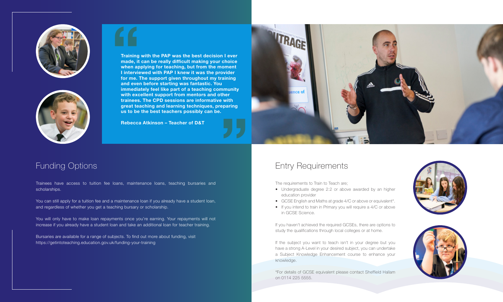### Funding Options

Trainees have access to tuition fee loans, maintenance loans, teaching bursaries and scholarships.

You can still apply for a tuition fee and a maintenance loan if you already have a student loan, and regardless of whether you get a teaching bursary or scholarship.







**Training with the PAP was the best decision I ever made, it can be really difficult making your choice when applying for teaching, but from the moment I interviewed with PAP I knew it was the provider for me. The support given throughout my training and even before starting was fantastic. You immediately feel like part of a teaching community with excellent support from mentors and other trainees. The CPD sessions are informative with great teaching and learning techniques, preparing us to be the best teachers possibly can be. Training**<br> **Training**<br> **made, it**<br> **when ap<br>
I intervie<br>
for me. 1<br>
and even** 

You will only have to make loan repayments once you're earning. Your repayments will not increase if you already have a student loan and take an additional loan for teacher training.

Bursaries are available for a range of subjects. To find out more about funding, visit https://getintoteaching.education.gov.uk/funding-your-training

If the subject you want to teach isn't in your degree but you have a strong A-Level in your desired subject, you can undertake a Subject Knowledge Enhancement course to enhance your knowledge.

**Rebecca Atkinson – Teacher of D&T "**



### Entry Requirements

The requirements to Train to Teach are;

- Undergraduate degree 2:2 or above awarded by an higher education provider
- GCSE English and Maths at grade 4/C or above or equivalent\*.
- If you intend to train in Primary you will require a 4/C or above in GCSE Science.

If you haven't achieved the required GCSEs, there are options to study the qualifications through local colleges or at home.

\*For details of GCSE equivalent please contact Sheffield Hallam on 0114 225 5555.



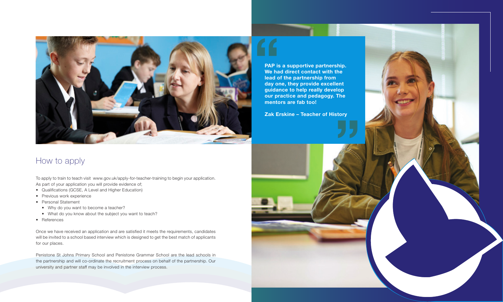**We had direct contact with the lead of the partnership from day one, they provide excellent guidance to help really develop our practice and pedagogy. The mentors are fab too!**





### How to apply

To apply to train to teach visit www.gov.uk/apply-for-teacher-training to begin your application. As part of your application you will provide evidence of;

- Qualifications (GCSE, A Level and Higher Education)
- Previous work experience
- Personal Statement
	- Why do you want to become a teacher?
	- What do you know about the subject you want to teach?
- References

Once we have received an application and are satisfied it meets the requirements, candidates will be invited to a school based interview which is designed to get the best match of applicants for our places.

Penistone St Johns Primary School and Penistone Grammar School are the lead schools in the partnership and will co-ordinate the recruitment process on behalf of the partnership. Our university and partner staff may be involved in the interview process.